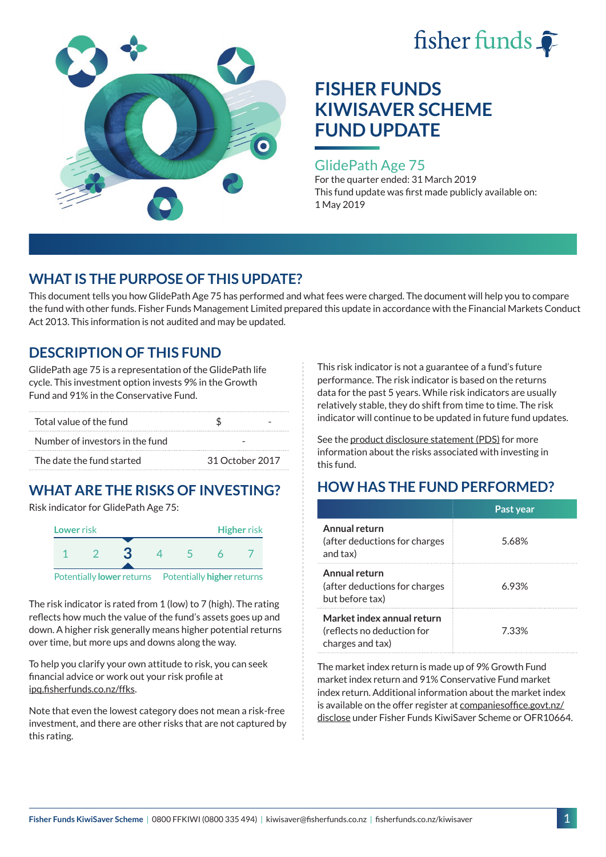



#### GlidePath Age 75

For the quarter ended: 31 March 2019 This fund update was first made publicly available on: 1 May 2019

### **WHAT IS THE PURPOSE OF THIS UPDATE?**

This document tells you how GlidePath Age 75 has performed and what fees were charged. The document will help you to compare the fund with other funds. Fisher Funds Management Limited prepared this update in accordance with the Financial Markets Conduct Act 2013. This information is not audited and may be updated.

### **DESCRIPTION OF THIS FUND**

GlidePath age 75 is a representation of the GlidePath life cycle. This investment option invests 9% in the Growth Fund and 91% in the Conservative Fund.

| Total value of the fund         |                 |  |
|---------------------------------|-----------------|--|
| Number of investors in the fund |                 |  |
| The date the fund started       | 31 October 2017 |  |

# **WHAT ARE THE RISKS OF INVESTING?**

Risk indicator for GlidePath Age 75:



The risk indicator is rated from 1 (low) to 7 (high). The rating

reflects how much the value of the fund's assets goes up and down. A higher risk generally means higher potential returns over time, but more ups and downs along the way.

To help you clarify your own attitude to risk, you can seek financial advice or work out your risk profile at [ipq.fisherfunds.co.nz/ffks](https://ipq.fisherfunds.co.nz/ffks).

Note that even the lowest category does not mean a risk-free investment, and there are other risks that are not captured by this rating.

This risk indicator is not a guarantee of a fund's future performance. The risk indicator is based on the returns data for the past 5 years. While risk indicators are usually relatively stable, they do shift from time to time. The risk indicator will continue to be updated in future fund updates.

See the [product disclosure statement \(PDS\)](https://fisherfunds.co.nz/assets/PDS/Fisher-Funds-KiwiSaver-Scheme-PDS.pdf) for more information about the risks associated with investing in this fund.

# **HOW HAS THE FUND PERFORMED?**

|                                                                              | Past year |
|------------------------------------------------------------------------------|-----------|
| Annual return<br>(after deductions for charges<br>and tax)                   | 5.68%     |
| Annual return<br>(after deductions for charges<br>but before tax)            | 6.93%     |
| Market index annual return<br>(reflects no deduction for<br>charges and tax) | 7.33%     |

The market index return is made up of 9% Growth Fund market index return and 91% Conservative Fund market index return. Additional information about the market index is available on the offer register at [companiesoffice.govt.nz/](http://companiesoffice.govt.nz/disclose) [disclose](http://companiesoffice.govt.nz/disclose) under Fisher Funds KiwiSaver Scheme or OFR10664.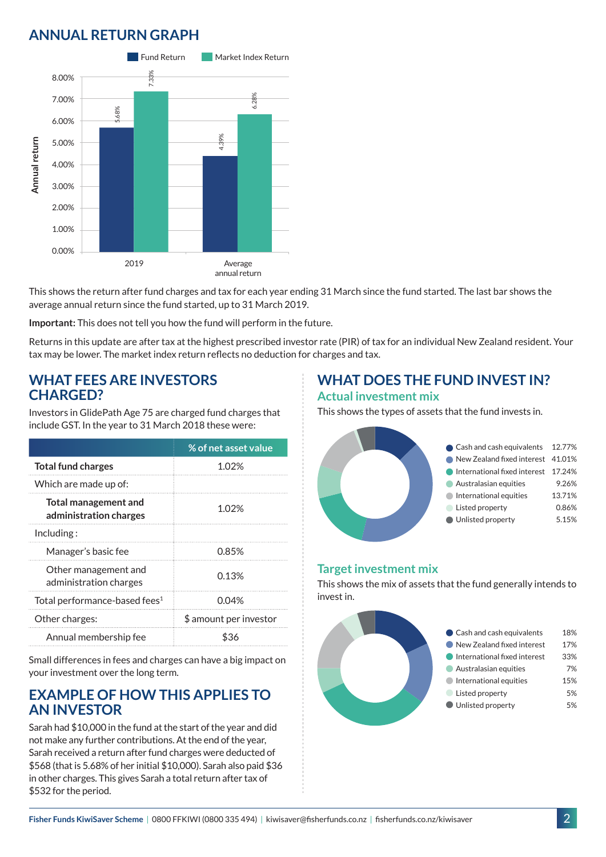# **ANNUAL RETURN GRAPH**



This shows the return after fund charges and tax for each year ending 31 March since the fund started. The last bar shows the average annual return since the fund started, up to 31 March 2019.

**Important:** This does not tell you how the fund will perform in the future.

Returns in this update are after tax at the highest prescribed investor rate (PIR) of tax for an individual New Zealand resident. Your tax may be lower. The market index return reflects no deduction for charges and tax.

#### **WHAT FEES ARE INVESTORS CHARGED?**

Investors in GlidePath Age 75 are charged fund charges that include GST. In the year to 31 March 2018 these were:

|                                                       | % of net asset value   |
|-------------------------------------------------------|------------------------|
| <b>Total fund charges</b>                             | 1.02%                  |
| Which are made up of:                                 |                        |
| <b>Total management and</b><br>administration charges | 1.02%                  |
| Including:                                            |                        |
| Manager's basic fee                                   | 0.85%                  |
| Other management and<br>administration charges        | 0.13%                  |
| Total performance-based fees <sup>1</sup>             | 0.04%                  |
| Other charges:                                        | \$ amount per investor |
| Annual membership fee                                 | ዬ'⊰ራ                   |

Small differences in fees and charges can have a big impact on your investment over the long term.

#### **EXAMPLE OF HOW THIS APPLIES TO AN INVESTOR**

Sarah had \$10,000 in the fund at the start of the year and did not make any further contributions. At the end of the year, Sarah received a return after fund charges were deducted of \$568 (that is 5.68% of her initial \$10,000). Sarah also paid \$36 in other charges. This gives Sarah a total return after tax of \$532 for the period.

### **WHAT DOES THE FUND INVEST IN? Actual investment mix**

This shows the types of assets that the fund invests in.



#### **Target investment mix**

This shows the mix of assets that the fund generally intends to invest in.